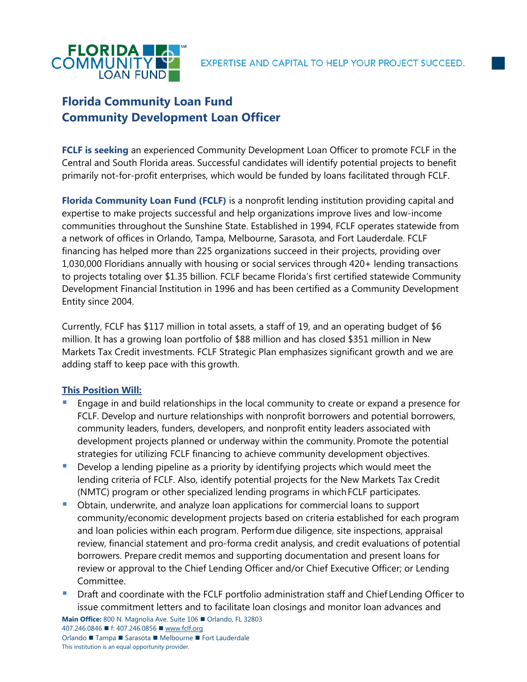

# **Florida Community Loan Fund Community Development Loan Officer**

**FCLF is seeking** an experienced Community Development Loan Officer to promote FCLF in the Central and South Florida areas. Successful candidates will identify potential projects to benefit primarily not-for-profit enterprises, which would be funded by loans facilitated through FCLF.

**Florida Community Loan Fund (FCLF)** is a nonprofit lending institution providing capital and expertise to make projects successful and help organizations improve lives and low-income communities throughout the Sunshine State. Established in 1994, FCLF operates statewide from a network of offices in Orlando, Tampa, Melbourne, Sarasota, and Fort Lauderdale. FCLF financing has helped more than 225 organizations succeed in their projects, providing over 1,030,000 Floridians annually with housing or social services through 420+ lending transactions to projects totaling over \$1.35 billion. FCLF became Florida's first certified statewide Community Development Financial Institution in 1996 and has been certified as a Community Development Entity since 2004.

Currently, FCLF has \$117 million in total assets, a staff of 19, and an operating budget of \$6 million. It has a growing loan portfolio of \$88 million and has closed \$351 million in New Markets Tax Credit investments. FCLF Strategic Plan emphasizes significant growth and we are adding staff to keep pace with this growth.

# **This Position Will:**

- Engage in and build relationships in the local community to create or expand a presence for FCLF. Develop and nurture relationships with nonprofit borrowers and potential borrowers, community leaders, funders, developers, and nonprofit entity leaders associated with development projects planned or underway within the community. Promote the potential strategies for utilizing FCLF financing to achieve community development objectives.
- Develop a lending pipeline as a priority by identifying projects which would meet the lending criteria of FCLF. Also, identify potential projects for the New Markets Tax Credit (NMTC) program or other specialized lending programs in which FCLF participates.
- Obtain, underwrite, and analyze loan applications for commercial loans to support community/economic development projects based on criteria established for each program and loan policies within each program. Performdue diligence, site inspections, appraisal review, financial statement and pro-forma credit analysis, and credit evaluations of potential borrowers. Prepare credit memos and supporting documentation and present loans for review or approval to the Chief Lending Officer and/or Chief Executive Officer; or Lending Committee.
- Draft and coordinate with the FCLF portfolio administration staff and Chief Lending Officer to issue commitment letters and to facilitate loan closings and monitor loan advances and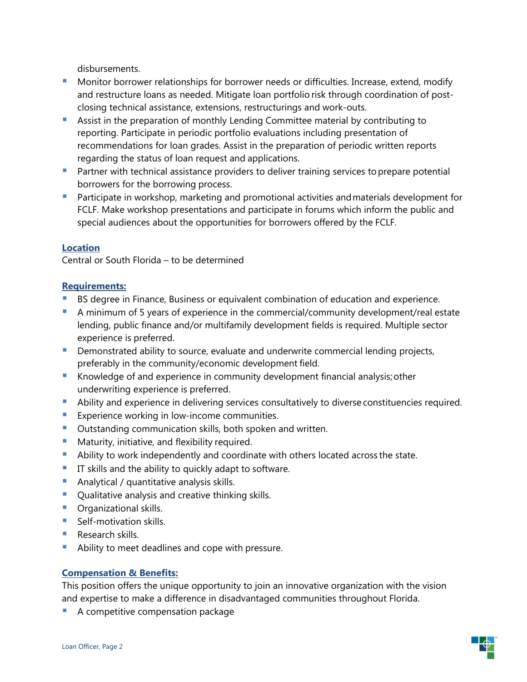disbursements.

- **Monitor borrower relationships for borrower needs or difficulties. Increase, extend, modify** and restructure loans as needed. Mitigate loan portfolio risk through coordination of postclosing technical assistance, extensions, restructurings and work-outs.
- Assist in the preparation of monthly Lending Committee material by contributing to reporting. Participate in periodic portfolio evaluations including presentation of recommendations for loan grades. Assist in the preparation of periodic written reports regarding the status of loan request and applications.
- **Partner with technical assistance providers to deliver training services to prepare potential** borrowers for the borrowing process.
- **Participate in workshop, marketing and promotional activities and materials development for** FCLF. Make workshop presentations and participate in forums which inform the public and special audiences about the opportunities for borrowers offered by the FCLF.

## **Location**

Central or South Florida – to be determined

## **Requirements:**

- BS degree in Finance, Business or equivalent combination of education and experience.
- A minimum of 5 years of experience in the commercial/community development/real estate lending, public finance and/or multifamily development fields is required. Multiple sector experience is preferred.
- **•** Demonstrated ability to source, evaluate and underwrite commercial lending projects, preferably in the community/economic development field.
- Knowledge of and experience in community development financial analysis; other underwriting experience is preferred.
- Ability and experience in delivering services consultatively to diverse constituencies required.
- **Experience working in low-income communities.**
- **Dutstanding communication skills, both spoken and written.**
- **Maturity, initiative, and flexibility required.**
- Ability to work independently and coordinate with others located across the state.
- **IF** skills and the ability to quickly adapt to software.
- **Analytical / quantitative analysis skills.**
- **Qualitative analysis and creative thinking skills.**
- **•** Organizational skills.
- **Self-motivation skills.**
- Research skills.
- Ability to meet deadlines and cope with pressure.

#### **Compensation & Benefits:**

This position offers the unique opportunity to join an innovative organization with the vision and expertise to make a difference in disadvantaged communities throughout Florida.

A competitive compensation package